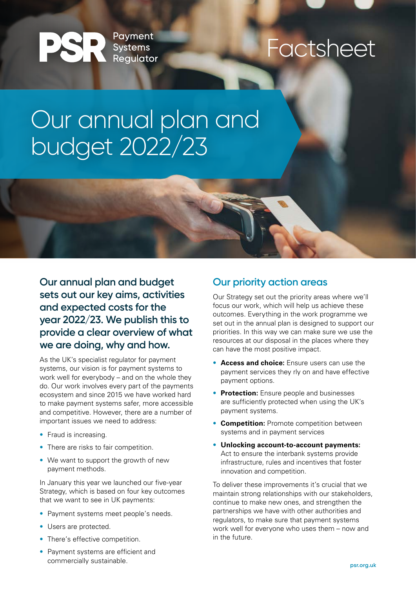Payment<br>Systems PSR **Reaulator** 

### Factsheet

## Our annual plan and budget 2022/23

**Our annual plan and budget sets out our key aims, activities and expected costs for the year 2022/23. We publish this to provide a clear overview of what we are doing, why and how.**

As the UK's specialist regulator for payment systems, our vision is for payment systems to work well for everybody – and on the whole they do. Our work involves every part of the payments ecosystem and since 2015 we have worked hard to make payment systems safer, more accessible and competitive. However, there are a number of important issues we need to address:

- Fraud is increasing.
- There are risks to fair competition.
- We want to support the growth of new payment methods.

In January this year we launched our five-year Strategy, which is based on four key outcomes that we want to see in UK payments:

- Payment systems meet people's needs.
- Users are protected.
- There's effective competition.
- Payment systems are efficient and commercially sustainable.

#### **Our priority action areas**

Our Strategy set out the priority areas where we'll focus our work, which will help us achieve these outcomes. Everything in the work programme we set out in the annual plan is designed to support our priorities. In this way we can make sure we use the resources at our disposal in the places where they can have the most positive impact.

- **Access and choice:** Ensure users can use the payment services they rly on and have effective payment options.
- **Protection:** Ensure people and businesses are sufficiently protected when using the UK's payment systems.
- **Competition:** Promote competition between systems and in payment services
- **Unlocking account-to-account payments:** Act to ensure the interbank systems provide infrastructure, rules and incentives that foster innovation and competition.

To deliver these improvements it's crucial that we maintain strong relationships with our stakeholders, continue to make new ones, and strengthen the partnerships we have with other authorities and regulators, to make sure that payment systems work well for everyone who uses them – now and in the future.